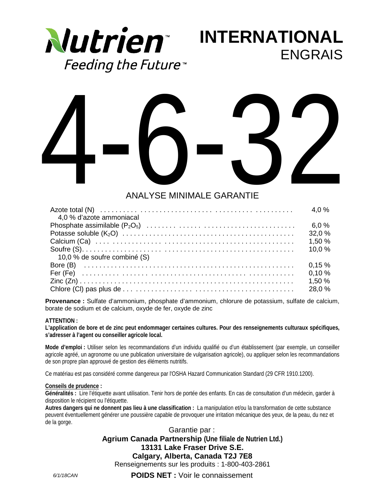

**INTERNATIONAL** ENGRAIS



## ANALYSE MINIMALE GARANTIE

| 4,0 % d'azote ammoniacal     |        |
|------------------------------|--------|
|                              |        |
|                              | 32,0 % |
|                              | 1.50%  |
|                              | 10.0%  |
| 10.0 % de soufre combiné (S) |        |
|                              | 0.15%  |
|                              | 0.10%  |
|                              | 1.50%  |
|                              | 28,0 % |

**Provenance :** Sulfate d'ammonium, phosphate d'ammonium, chlorure de potassium, sulfate de calcium, borate de sodium et de calcium, oxyde de fer, oxyde de zinc

## **ATTENTION :**

**L'application de bore et de zinc peut endommager certaines cultures. Pour des renseignements culturaux spécifiques, s'adresser à l'agent ou conseiller agricole local.**

**Mode d'emploi :** Utiliser selon les recommandations d'un individu qualifié ou d'un établissement (par exemple, un conseiller agricole agréé, un agronome ou une publication universitaire de vulgarisation agricole), ou appliquer selon les recommandations de son propre plan approuvé de gestion des éléments nutritifs.

Ce matériau est pas considéré comme dangereux par l'OSHA Hazard Communication Standard (29 CFR 1910.1200).

#### **Conseils de prudence :**

**Généralités :** Lire l'étiquette avant utilisation. Tenir hors de portée des enfants. En cas de consultation d'un médecin, garder à disposition le récipient ou l'étiquette.

**Autres dangers qui ne donnent pas lieu à une classification :** La manipulation et/ou la transformation de cette substance peuvent éventuellement générer une poussière capable de provoquer une irritation mécanique des yeux, de la peau, du nez et de la gorge.

> Garantie par : **Agrium Canada Partnership (Une filiale de Nutrien Ltd.) 13131 Lake Fraser Drive S.E. Calgary, Alberta, Canada T2J 7E8**

Renseignements sur les produits : 1-800-403-2861

**POIDS NET :** Voir le connaissement